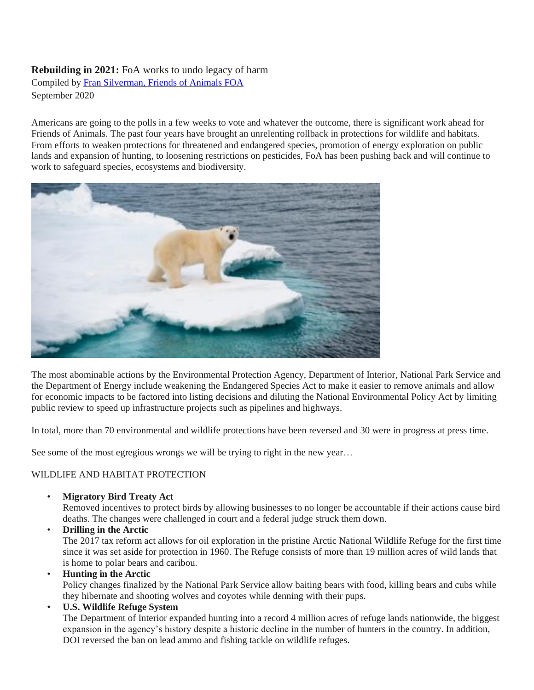## **Rebuilding in 2021:** FoA works to undo legacy of harm Compiled by [Fran Silverman, Friends of Animals FOA](https://www.friendsofanimals.org/)

September 2020

Americans are going to the polls in a few weeks to vote and whatever the outcome, there is significant work ahead for Friends of Animals. The past four years have brought an unrelenting rollback in protections for wildlife and habitats. From efforts to weaken protections for threatened and endangered species, promotion of energy exploration on public lands and expansion of hunting, to loosening restrictions on pesticides, FoA has been pushing back and will continue to work to safeguard species, ecosystems and biodiversity.



The most abominable actions by the Environmental Protection Agency, Department of Interior, National Park Service and the Department of Energy include weakening the Endangered Species Act to make it easier to remove animals and allow for economic impacts to be factored into listing decisions and diluting the National Environmental Policy Act by limiting public review to speed up infrastructure projects such as pipelines and highways.

In total, more than 70 environmental and wildlife protections have been reversed and 30 were in progress at press time.

See some of the most egregious wrongs we will be trying to right in the new year...

# WILDLIFE AND HABITAT PROTECTION

• **Migratory Bird Treaty Act**

Removed incentives to protect birds by allowing businesses to no longer be accountable if their actions cause bird deaths. The changes were challenged in court and a federal judge struck them down.

• **Drilling in the Arctic** The 2017 tax reform act allows for oil exploration in the pristine Arctic National Wildlife Refuge for the first time since it was set aside for protection in 1960. The Refuge consists of more than 19 million acres of wild lands that is home to polar bears and caribou.

• **Hunting in the Arctic**

Policy changes finalized by the National Park Service allow baiting bears with food, killing bears and cubs while they hibernate and shooting wolves and coyotes while denning with their pups.

• **U.S. Wildlife Refuge System**

The Department of Interior expanded hunting into a record 4 million acres of refuge lands nationwide, the biggest expansion in the agency's history despite a historic decline in the number of hunters in the country. In addition, DOI reversed the ban on lead ammo and fishing tackle on wildlife refuges.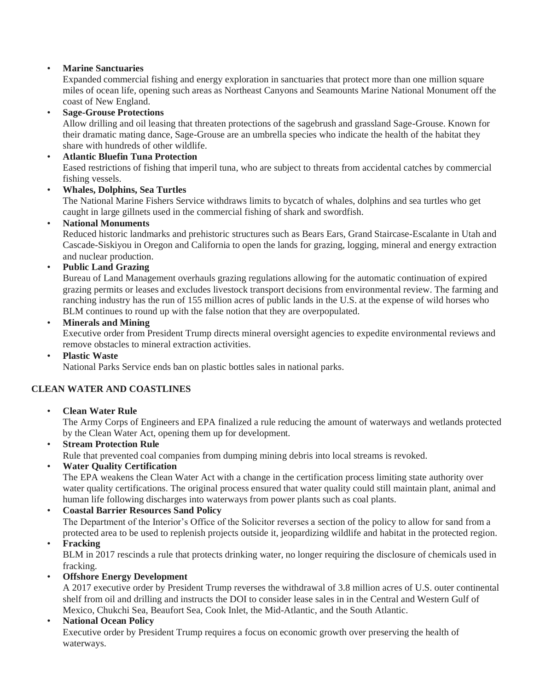# • **Marine Sanctuaries**

Expanded commercial fishing and energy exploration in sanctuaries that protect more than one million square miles of ocean life, opening such areas as Northeast Canyons and Seamounts Marine National Monument off the coast of New England.

## • **Sage-Grouse Protections**

Allow drilling and oil leasing that threaten protections of the sagebrush and grassland Sage-Grouse. Known for their dramatic mating dance, Sage-Grouse are an umbrella species who indicate the health of the habitat they share with hundreds of other wildlife.

#### • **Atlantic Bluefin Tuna Protection**

Eased restrictions of fishing that imperil tuna, who are subject to threats from accidental catches by commercial fishing vessels.

• **Whales, Dolphins, Sea Turtles**

The National Marine Fishers Service withdraws limits to bycatch of whales, dolphins and sea turtles who get caught in large gillnets used in the commercial fishing of shark and swordfish.

#### • **National Monuments**

Reduced historic landmarks and prehistoric structures such as Bears Ears, Grand Staircase-Escalante in Utah and Cascade-Siskiyou in Oregon and California to open the lands for grazing, logging, mineral and energy extraction and nuclear production.

#### • **Public Land Grazing**

Bureau of Land Management overhauls grazing regulations allowing for the automatic continuation of expired grazing permits or leases and excludes livestock transport decisions from environmental review. The farming and ranching industry has the run of 155 million acres of public lands in the U.S. at the expense of wild horses who BLM continues to round up with the false notion that they are overpopulated.

#### • **Minerals and Mining**

Executive order from President Trump directs mineral oversight agencies to expedite environmental reviews and remove obstacles to mineral extraction activities.

#### • **Plastic Waste**

National Parks Service ends ban on plastic bottles sales in national parks.

## **CLEAN WATER AND COASTLINES**

## • **Clean Water Rule**

The Army Corps of Engineers and EPA finalized a rule reducing the amount of waterways and wetlands protected by the Clean Water Act, opening them up for development.

- **Stream Protection Rule** Rule that prevented coal companies from dumping mining debris into local streams is revoked.
- **Water Quality Certification**

The EPA weakens the Clean Water Act with a change in the certification process limiting state authority over water quality certifications. The original process ensured that water quality could still maintain plant, animal and human life following discharges into waterways from power plants such as coal plants.

## • **Coastal Barrier Resources Sand Policy**

The Department of the Interior's Office of the Solicitor reverses a section of the policy to allow for sand from a protected area to be used to replenish projects outside it, jeopardizing wildlife and habitat in the protected region.

• **Fracking**

BLM in 2017 rescinds a rule that protects drinking water, no longer requiring the disclosure of chemicals used in fracking.

## • **Offshore Energy Development**

A 2017 executive order by President Trump reverses the withdrawal of 3.8 million acres of U.S. outer continental shelf from oil and drilling and instructs the DOI to consider lease sales in in the Central and Western Gulf of Mexico, Chukchi Sea, Beaufort Sea, Cook Inlet, the Mid-Atlantic, and the South Atlantic.

## • **National Ocean Policy**

Executive order by President Trump requires a focus on economic growth over preserving the health of waterways.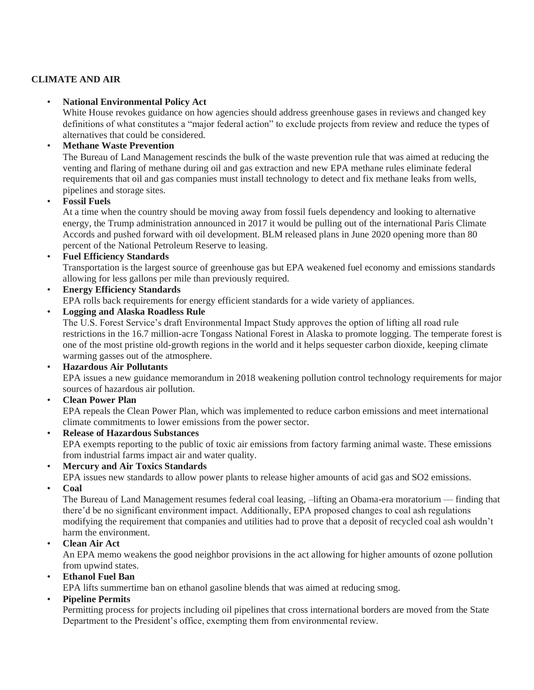# **CLIMATE AND AIR**

## • **National Environmental Policy Act**

White House revokes guidance on how agencies should address greenhouse gases in reviews and changed key definitions of what constitutes a "major federal action" to exclude projects from review and reduce the types of alternatives that could be considered.

# • **Methane Waste Prevention**

The Bureau of Land Management rescinds the bulk of the waste prevention rule that was aimed at reducing the venting and flaring of methane during oil and gas extraction and new EPA methane rules eliminate federal requirements that oil and gas companies must install technology to detect and fix methane leaks from wells, pipelines and storage sites.

# • **Fossil Fuels**

At a time when the country should be moving away from fossil fuels dependency and looking to alternative energy, the Trump administration announced in 2017 it would be pulling out of the international Paris Climate Accords and pushed forward with oil development. BLM released plans in June 2020 opening more than 80 percent of the National Petroleum Reserve to leasing.

• **Fuel Efficiency Standards**

Transportation is the largest source of greenhouse gas but EPA weakened fuel economy and emissions standards allowing for less gallons per mile than previously required.

- **Energy Efficiency Standards** EPA rolls back requirements for energy efficient standards for a wide variety of appliances.
- **Logging and Alaska Roadless Rule**

The U.S. Forest Service's draft Environmental Impact Study approves the option of lifting all road rule restrictions in the 16.7 million-acre Tongass National Forest in Alaska to promote logging. The temperate forest is one of the most pristine old-growth regions in the world and it helps sequester carbon dioxide, keeping climate warming gasses out of the atmosphere.

• **Hazardous Air Pollutants**

EPA issues a new guidance memorandum in 2018 weakening pollution control technology requirements for major sources of hazardous air pollution.

• **Clean Power Plan**

EPA repeals the Clean Power Plan, which was implemented to reduce carbon emissions and meet international climate commitments to lower emissions from the power sector.

• **Release of Hazardous Substances**

EPA exempts reporting to the public of toxic air emissions from factory farming animal waste. These emissions from industrial farms impact air and water quality.

• **Mercury and Air Toxics Standards**

EPA issues new standards to allow power plants to release higher amounts of acid gas and SO2 emissions.

• **Coal**

The Bureau of Land Management resumes federal coal leasing, –lifting an Obama-era moratorium — finding that there'd be no significant environment impact. Additionally, EPA proposed changes to coal ash regulations modifying the requirement that companies and utilities had to prove that a deposit of recycled coal ash wouldn't harm the environment.

• **Clean Air Act**

An EPA memo weakens the good neighbor provisions in the act allowing for higher amounts of ozone pollution from upwind states.

• **Ethanol Fuel Ban**

EPA lifts summertime ban on ethanol gasoline blends that was aimed at reducing smog.

# • **Pipeline Permits**

Permitting process for projects including oil pipelines that cross international borders are moved from the State Department to the President's office, exempting them from environmental review.